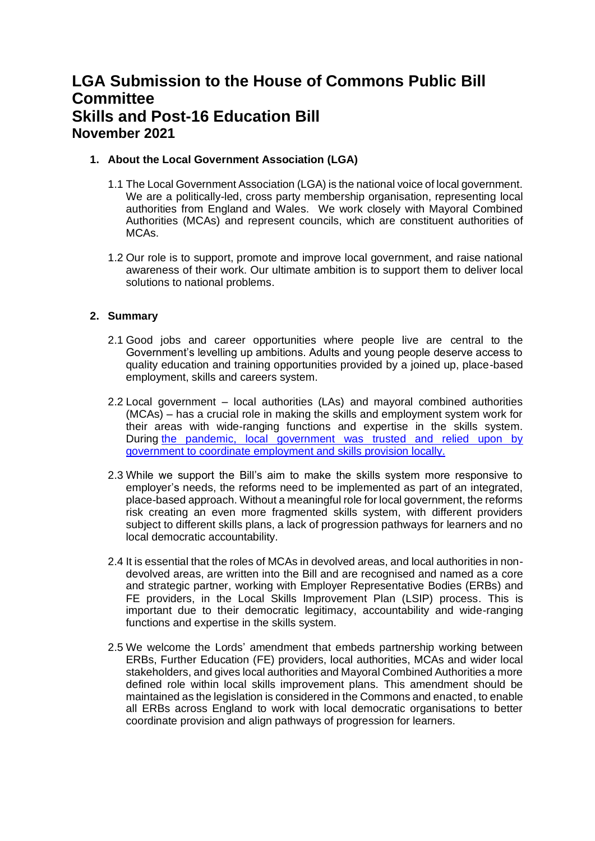# **LGA Submission to the House of Commons Public Bill Committee Skills and Post-16 Education Bill November 2021**

## **1. About the Local Government Association (LGA)**

- 1.1 The Local Government Association (LGA) is the national voice of local government. We are a politically-led, cross party membership organisation, representing local authorities from England and Wales. We work closely with Mayoral Combined Authorities (MCAs) and represent councils, which are constituent authorities of MCAs.
- 1.2 Our role is to support, promote and improve local government, and raise national awareness of their work. Our ultimate ambition is to support them to deliver local solutions to national problems.

## **2. Summary**

- 2.1 Good jobs and career opportunities where people live are central to the Government's levelling up ambitions. Adults and young people deserve access to quality education and training opportunities provided by a joined up, place-based employment, skills and careers system.
- 2.2 Local government local authorities (LAs) and mayoral combined authorities (MCAs) – has a crucial role in making the skills and employment system work for their areas with wide-ranging functions and expertise in the skills system. During [the pandemic, local government](https://www.local.gov.uk/employment-skills-recovery-hub) was trusted and relied upon by [government to coordinate employment and skills provision locally.](https://www.local.gov.uk/employment-skills-recovery-hub)
- 2.3 While we support the Bill's aim to make the skills system more responsive to employer's needs, the reforms need to be implemented as part of an integrated, place-based approach. Without a meaningful role for local government, the reforms risk creating an even more fragmented skills system, with different providers subject to different skills plans, a lack of progression pathways for learners and no local democratic accountability.
- 2.4 It is essential that the roles of MCAs in devolved areas, and local authorities in nondevolved areas, are written into the Bill and are recognised and named as a core and strategic partner, working with Employer Representative Bodies (ERBs) and FE providers, in the Local Skills Improvement Plan (LSIP) process. This is important due to their democratic legitimacy, accountability and wide-ranging functions and expertise in the skills system.
- 2.5 We welcome the Lords' amendment that embeds partnership working between ERBs, Further Education (FE) providers, local authorities, MCAs and wider local stakeholders, and gives local authorities and Mayoral Combined Authorities a more defined role within local skills improvement plans. This amendment should be maintained as the legislation is considered in the Commons and enacted, to enable all ERBs across England to work with local democratic organisations to better coordinate provision and align pathways of progression for learners.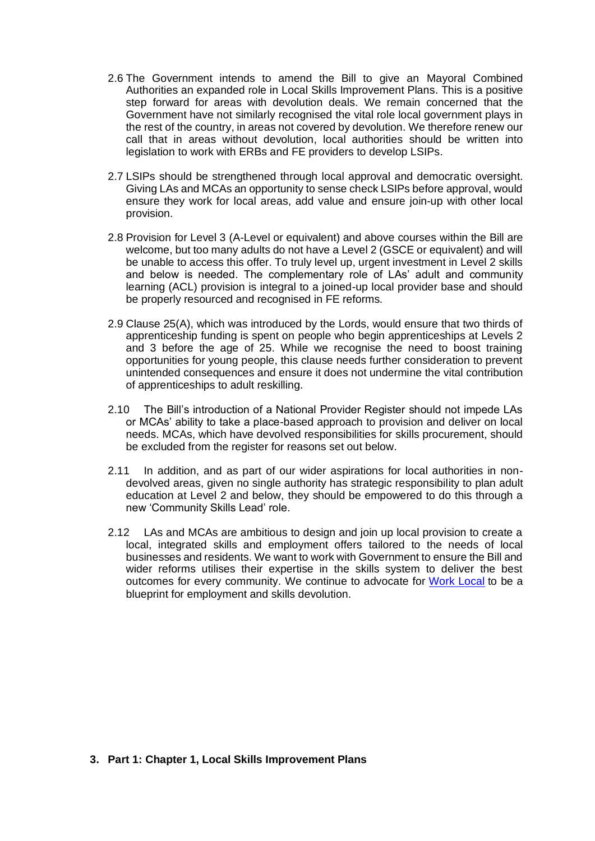- 2.6 The Government intends to amend the Bill to give an Mayoral Combined Authorities an expanded role in Local Skills Improvement Plans. This is a positive step forward for areas with devolution deals. We remain concerned that the Government have not similarly recognised the vital role local government plays in the rest of the country, in areas not covered by devolution. We therefore renew our call that in areas without devolution, local authorities should be written into legislation to work with ERBs and FE providers to develop LSIPs.
- 2.7 LSIPs should be strengthened through local approval and democratic oversight. Giving LAs and MCAs an opportunity to sense check LSIPs before approval, would ensure they work for local areas, add value and ensure join-up with other local provision.
- 2.8 Provision for Level 3 (A-Level or equivalent) and above courses within the Bill are welcome, but too many adults do not have a Level 2 (GSCE or equivalent) and will be unable to access this offer. To truly level up, urgent investment in Level 2 skills and below is needed. The complementary role of LAs' adult and community learning (ACL) provision is integral to a joined-up local provider base and should be properly resourced and recognised in FE reforms.
- 2.9 Clause 25(A), which was introduced by the Lords, would ensure that two thirds of apprenticeship funding is spent on people who begin apprenticeships at Levels 2 and 3 before the age of 25. While we recognise the need to boost training opportunities for young people, this clause needs further consideration to prevent unintended consequences and ensure it does not undermine the vital contribution of apprenticeships to adult reskilling.
- 2.10 The Bill's introduction of a National Provider Register should not impede LAs or MCAs' ability to take a place-based approach to provision and deliver on local needs. MCAs, which have devolved responsibilities for skills procurement, should be excluded from the register for reasons set out below.
- 2.11 In addition, and as part of our wider aspirations for local authorities in nondevolved areas, given no single authority has strategic responsibility to plan adult education at Level 2 and below, they should be empowered to do this through a new 'Community Skills Lead' role.
- 2.12 LAs and MCAs are ambitious to design and join up local provision to create a local, integrated skills and employment offers tailored to the needs of local businesses and residents. We want to work with Government to ensure the Bill and wider reforms utilises their expertise in the skills system to deliver the best outcomes for every community. We continue to advocate for [Work Local](https://www.local.gov.uk/topics/employment-and-skills/work-local) to be a blueprint for employment and skills devolution.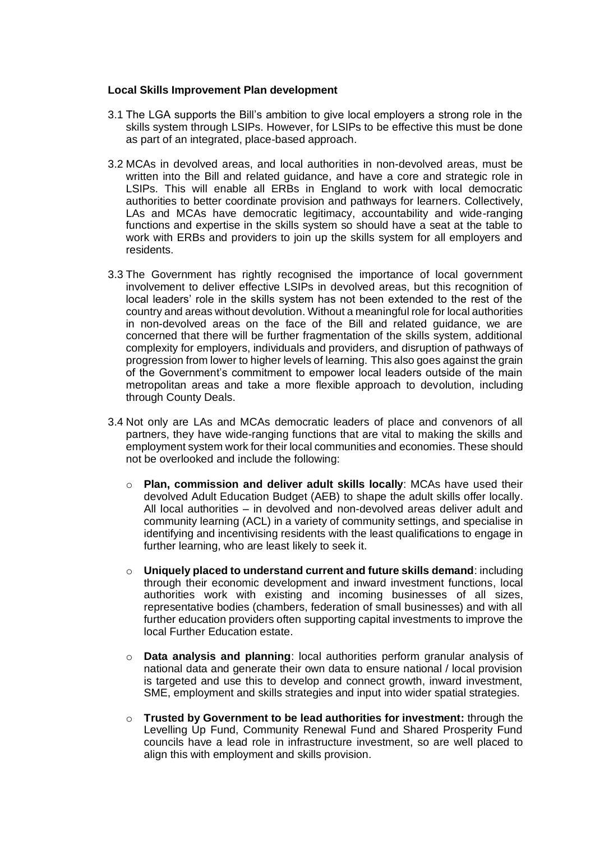### **Local Skills Improvement Plan development**

- 3.1 The LGA supports the Bill's ambition to give local employers a strong role in the skills system through LSIPs. However, for LSIPs to be effective this must be done as part of an integrated, place-based approach.
- 3.2 MCAs in devolved areas, and local authorities in non-devolved areas, must be written into the Bill and related guidance, and have a core and strategic role in LSIPs. This will enable all ERBs in England to work with local democratic authorities to better coordinate provision and pathways for learners. Collectively, LAs and MCAs have democratic legitimacy, accountability and wide-ranging functions and expertise in the skills system so should have a seat at the table to work with ERBs and providers to join up the skills system for all employers and residents.
- 3.3 The Government has rightly recognised the importance of local government involvement to deliver effective LSIPs in devolved areas, but this recognition of local leaders' role in the skills system has not been extended to the rest of the country and areas without devolution. Without a meaningful role for local authorities in non-devolved areas on the face of the Bill and related guidance, we are concerned that there will be further fragmentation of the skills system, additional complexity for employers, individuals and providers, and disruption of pathways of progression from lower to higher levels of learning. This also goes against the grain of the Government's commitment to empower local leaders outside of the main metropolitan areas and take a more flexible approach to devolution, including through County Deals.
- 3.4 Not only are LAs and MCAs democratic leaders of place and convenors of all partners, they have wide-ranging functions that are vital to making the skills and employment system work for their local communities and economies. These should not be overlooked and include the following:
	- o **Plan, commission and deliver adult skills locally**: MCAs have used their devolved Adult Education Budget (AEB) to shape the adult skills offer locally. All local authorities – in devolved and non-devolved areas deliver adult and community learning (ACL) in a variety of community settings, and specialise in identifying and incentivising residents with the least qualifications to engage in further learning, who are least likely to seek it.
	- o **Uniquely placed to understand current and future skills demand**: including through their economic development and inward investment functions, local authorities work with existing and incoming businesses of all sizes, representative bodies (chambers, federation of small businesses) and with all further education providers often supporting capital investments to improve the local Further Education estate.
	- o **Data analysis and planning**: local authorities perform granular analysis of national data and generate their own data to ensure national / local provision is targeted and use this to develop and connect growth, inward investment, SME, employment and skills strategies and input into wider spatial strategies.
	- o **Trusted by Government to be lead authorities for investment:** through the Levelling Up Fund, Community Renewal Fund and Shared Prosperity Fund councils have a lead role in infrastructure investment, so are well placed to align this with employment and skills provision.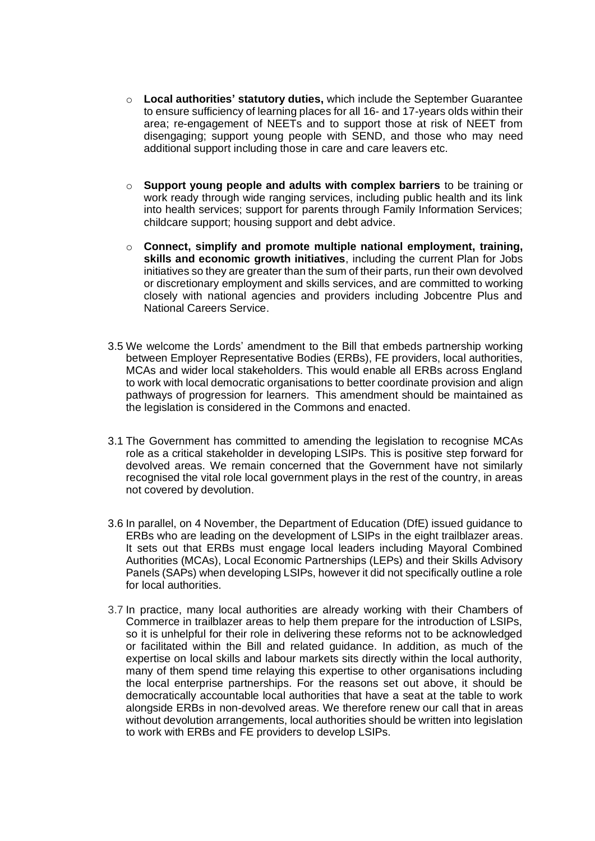- o **Local authorities' statutory duties,** which include the September Guarantee to ensure sufficiency of learning places for all 16- and 17-years olds within their area; re-engagement of NEETs and to support those at risk of NEET from disengaging; support young people with SEND, and those who may need additional support including those in care and care leavers etc.
- o **Support young people and adults with complex barriers** to be training or work ready through wide ranging services, including public health and its link into health services; support for parents through Family Information Services; childcare support; housing support and debt advice.
- o **Connect, simplify and promote multiple national employment, training, skills and economic growth initiatives**, including the current Plan for Jobs initiatives so they are greater than the sum of their parts, run their own devolved or discretionary employment and skills services, and are committed to working closely with national agencies and providers including Jobcentre Plus and National Careers Service.
- 3.5 We welcome the Lords' amendment to the Bill that embeds partnership working between Employer Representative Bodies (ERBs), FE providers, local authorities, MCAs and wider local stakeholders. This would enable all ERBs across England to work with local democratic organisations to better coordinate provision and align pathways of progression for learners. This amendment should be maintained as the legislation is considered in the Commons and enacted.
- 3.1 The Government has committed to amending the legislation to recognise MCAs role as a critical stakeholder in developing LSIPs. This is positive step forward for devolved areas. We remain concerned that the Government have not similarly recognised the vital role local government plays in the rest of the country, in areas not covered by devolution.
- 3.6 In parallel, on 4 November, the Department of Education (DfE) issued guidance to ERBs who are leading on the development of LSIPs [in the eight trailblazer areas.](https://www.gov.uk/government/publications/skills-accelerator-trailblazers-and-pilots/skills-accelerator-local-skills-improvement-plan-trailblazers-and-strategic-development-fund-pilots) It sets out that ERBs must engage local leaders including Mayoral Combined Authorities (MCAs), Local Economic Partnerships (LEPs) and their Skills Advisory Panels (SAPs) when developing LSIPs, however it did not specifically outline a role for local authorities.
- 3.7 In practice, many local authorities are already working with their Chambers of Commerce in trailblazer areas to help them prepare for the introduction of LSIPs, so it is unhelpful for their role in delivering these reforms not to be acknowledged or facilitated within the Bill and related guidance. In addition, as much of the expertise on local skills and labour markets sits directly within the local authority, many of them spend time relaying this expertise to other organisations including the local enterprise partnerships. For the reasons set out above, it should be democratically accountable local authorities that have a seat at the table to work alongside ERBs in non-devolved areas. We therefore renew our call that in areas without devolution arrangements, local authorities should be written into legislation to work with ERBs and FE providers to develop LSIPs.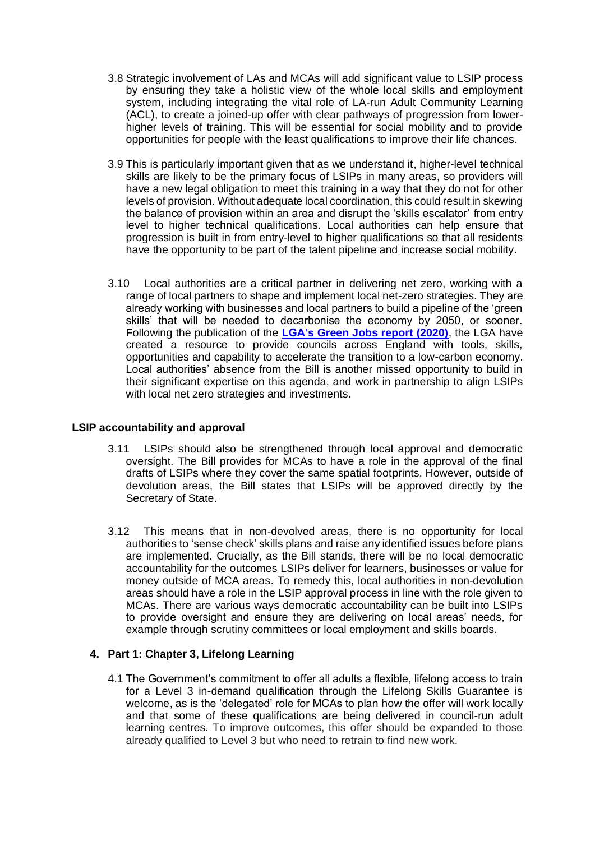- 3.8 Strategic involvement of LAs and MCAs will add significant value to LSIP process by ensuring they take a holistic view of the whole local skills and employment system, including integrating the vital role of LA-run Adult Community Learning (ACL), to create a joined-up offer with clear pathways of progression from lowerhigher levels of training. This will be essential for social mobility and to provide opportunities for people with the least qualifications to improve their life chances.
- 3.9 This is particularly important given that as we understand it, higher-level technical skills are likely to be the primary focus of LSIPs in many areas, so providers will have a new legal obligation to meet this training in a way that they do not for other levels of provision. Without adequate local coordination, this could result in skewing the balance of provision within an area and disrupt the 'skills escalator' from entry level to higher technical qualifications. Local authorities can help ensure that progression is built in from entry-level to higher qualifications so that all residents have the opportunity to be part of the talent pipeline and increase social mobility.
- 3.10 Local authorities are a critical partner in delivering net zero, working with a range of local partners to shape and implement local net-zero strategies. They are already working with businesses and local partners to build a pipeline of the 'green skills' that will be needed to decarbonise the economy by 2050, or sooner. Following the publication of the **LGA's [Green Jobs report \(2020\)](https://www.local.gov.uk/local-green-jobs-accelerating-sustainable-economic-recovery)**, the LGA have created a resource to provide councils across England with tools, skills, opportunities and capability to accelerate the transition to a low-carbon economy. Local authorities' absence from the Bill is another missed opportunity to build in their significant expertise on this agenda, and work in partnership to align LSIPs with local net zero strategies and investments.

### **LSIP accountability and approval**

- 3.11 LSIPs should also be strengthened through local approval and democratic oversight. The Bill provides for MCAs to have a role in the approval of the final drafts of LSIPs where they cover the same spatial footprints. However, outside of devolution areas, the Bill states that LSIPs will be approved directly by the Secretary of State.
- 3.12 This means that in non-devolved areas, there is no opportunity for local authorities to 'sense check' skills plans and raise any identified issues before plans are implemented. Crucially, as the Bill stands, there will be no local democratic accountability for the outcomes LSIPs deliver for learners, businesses or value for money outside of MCA areas. To remedy this, local authorities in non-devolution areas should have a role in the LSIP approval process in line with the role given to MCAs. There are various ways democratic accountability can be built into LSIPs to provide oversight and ensure they are delivering on local areas' needs, for example through scrutiny committees or local employment and skills boards.

### **4. Part 1: Chapter 3, Lifelong Learning**

4.1 The Government's commitment to offer all adults a flexible, lifelong access to train for a Level 3 in-demand qualification through the Lifelong Skills Guarantee is welcome, as is the 'delegated' role for MCAs to plan how the offer will work locally and that some of these qualifications are being delivered in council-run adult learning centres. To improve outcomes, this offer should be expanded to those already qualified to Level 3 but who need to retrain to find new work.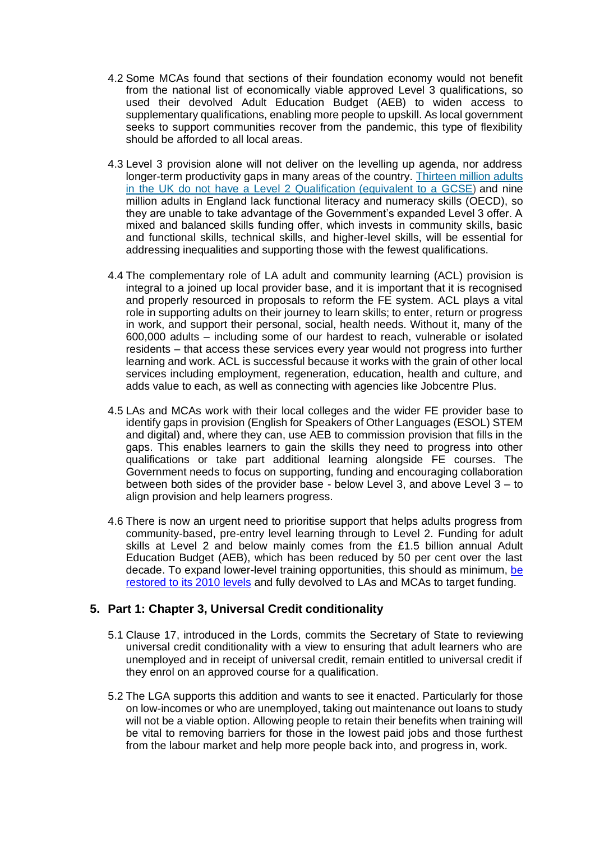- 4.2 Some MCAs found that sections of their foundation economy would not benefit from the national list of economically viable approved Level 3 qualifications, so used their devolved Adult Education Budget (AEB) to widen access to supplementary qualifications, enabling more people to upskill. As local government seeks to support communities recover from the pandemic, this type of flexibility should be afforded to all local areas.
- 4.3 Level 3 provision alone will not deliver on the levelling up agenda, nor address longer-term productivity gaps in many areas of the country. [Thirteen million adults](https://www.oecd.org/skills/piaac/Skills_Matter_Further_Results_from_the_Survey_of_Adult_Skills.pdf)  [in the UK do not have a Level 2 Qualification](https://www.oecd.org/skills/piaac/Skills_Matter_Further_Results_from_the_Survey_of_Adult_Skills.pdf) (equivalent to a GCSE) and nine million adults in England lack functional literacy and numeracy skills (OECD), so they are unable to take advantage of the Government's expanded Level 3 offer. A mixed and balanced skills funding offer, which invests in community skills, basic and functional skills, technical skills, and higher-level skills, will be essential for addressing inequalities and supporting those with the fewest qualifications.
- 4.4 The complementary role of LA adult and community learning (ACL) provision is integral to a joined up local provider base, and it is important that it is recognised and properly resourced in proposals to reform the FE system. ACL plays a vital role in supporting adults on their journey to learn skills; to enter, return or progress in work, and support their personal, social, health needs. Without it, many of the 600,000 adults – including some of our hardest to reach, vulnerable or isolated residents – that access these services every year would not progress into further learning and work. ACL is successful because it works with the grain of other local services including employment, regeneration, education, health and culture, and adds value to each, as well as connecting with agencies like Jobcentre Plus.
- 4.5 LAs and MCAs work with their local colleges and the wider FE provider base to identify gaps in provision (English for Speakers of Other Languages (ESOL) STEM and digital) and, where they can, use AEB to commission provision that fills in the gaps. This enables learners to gain the skills they need to progress into other qualifications or take part additional learning alongside FE courses. The Government needs to focus on supporting, funding and encouraging collaboration between both sides of the provider base - below Level 3, and above Level 3 – to align provision and help learners progress.
- 4.6 There is now an urgent need to prioritise support that helps adults progress from community-based, pre-entry level learning through to Level 2. Funding for adult skills at Level 2 and below mainly comes from the £1.5 billion annual Adult Education Budget (AEB), which has been reduced by 50 per cent over the last decade. To expand lower-level training opportunities, this should as minimum, [be](https://www.local.gov.uk/publications/work-local-making-our-vision-reality)  [restored to its 2010 levels](https://www.local.gov.uk/publications/work-local-making-our-vision-reality) and fully devolved to LAs and MCAs to target funding.

### **5. Part 1: Chapter 3, Universal Credit conditionality**

- 5.1 Clause 17, introduced in the Lords, commits the Secretary of State to reviewing universal credit conditionality with a view to ensuring that adult learners who are unemployed and in receipt of universal credit, remain entitled to universal credit if they enrol on an approved course for a qualification.
- 5.2 The LGA supports this addition and wants to see it enacted. Particularly for those on low-incomes or who are unemployed, taking out maintenance out loans to study will not be a viable option. Allowing people to retain their benefits when training will be vital to removing barriers for those in the lowest paid jobs and those furthest from the labour market and help more people back into, and progress in, work.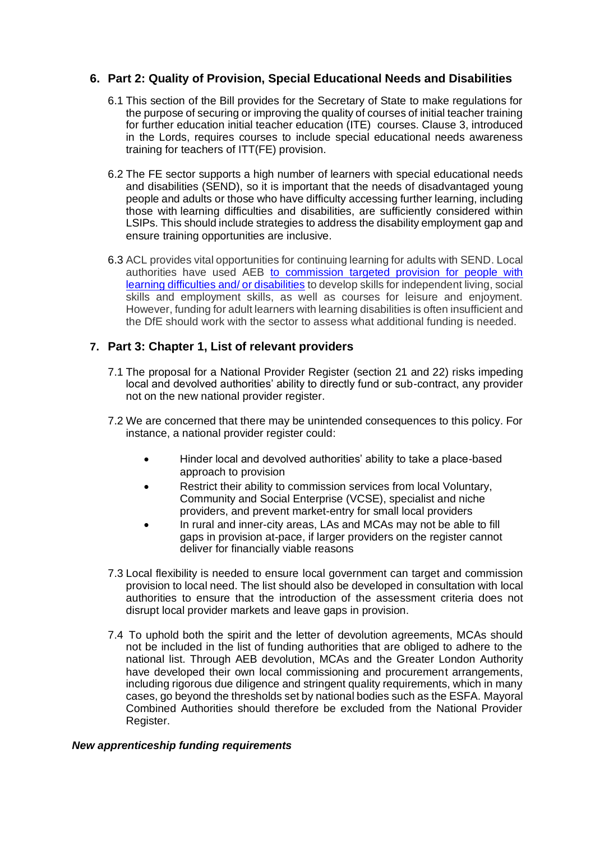# **6. Part 2: Quality of Provision, Special Educational Needs and Disabilities**

- 6.1 This section of the Bill provides for the Secretary of State to make regulations for the purpose of securing or improving the quality of courses of initial teacher training for further education initial teacher education (ITE) courses. Clause 3, introduced in the Lords, requires courses to include special educational needs awareness training for teachers of ITT(FE) provision.
- 6.2 The FE sector supports a high number of learners with special educational needs and disabilities (SEND), so it is important that the needs of disadvantaged young people and adults or those who have difficulty accessing further learning, including those with learning difficulties and disabilities, are sufficiently considered within LSIPs. This should include strategies to address the disability employment gap and ensure training opportunities are inclusive.
- 6.3 ACL provides vital opportunities for continuing learning for adults with SEND. Local authorities have used AEB to commission targeted [provision for people with](ttps://www.local.gov.uk/publications/learning-life-role-adult-community-education-developing-thriving-local-communities)  [learning difficulties and/ or disabilities](ttps://www.local.gov.uk/publications/learning-life-role-adult-community-education-developing-thriving-local-communities) to develop skills for independent living, social skills and employment skills, as well as courses for leisure and enjoyment. However, funding for adult learners with learning disabilities is often insufficient and the DfE should work with the sector to assess what additional funding is needed.

## **7. Part 3: Chapter 1, List of relevant providers**

- 7.1 The proposal for a National Provider Register (section 21 and 22) risks impeding local and devolved authorities' ability to directly fund or sub-contract, any provider not on the new national provider register.
- 7.2 We are concerned that there may be unintended consequences to this policy. For instance, a national provider register could:
	- Hinder local and devolved authorities' ability to take a place-based approach to provision
	- Restrict their ability to commission services from local Voluntary, Community and Social Enterprise (VCSE), specialist and niche providers, and prevent market-entry for small local providers
	- In rural and inner-city areas, LAs and MCAs may not be able to fill gaps in provision at-pace, if larger providers on the register cannot deliver for financially viable reasons
- 7.3 Local flexibility is needed to ensure local government can target and commission provision to local need. The list should also be developed in consultation with local authorities to ensure that the introduction of the assessment criteria does not disrupt local provider markets and leave gaps in provision.
- 7.4 To uphold both the spirit and the letter of devolution agreements, MCAs should not be included in the list of funding authorities that are obliged to adhere to the national list. Through AEB devolution, MCAs and the Greater London Authority have developed their own local commissioning and procurement arrangements, including rigorous due diligence and stringent quality requirements, which in many cases, go beyond the thresholds set by national bodies such as the ESFA. Mayoral Combined Authorities should therefore be excluded from the National Provider Register.

### *New apprenticeship funding requirements*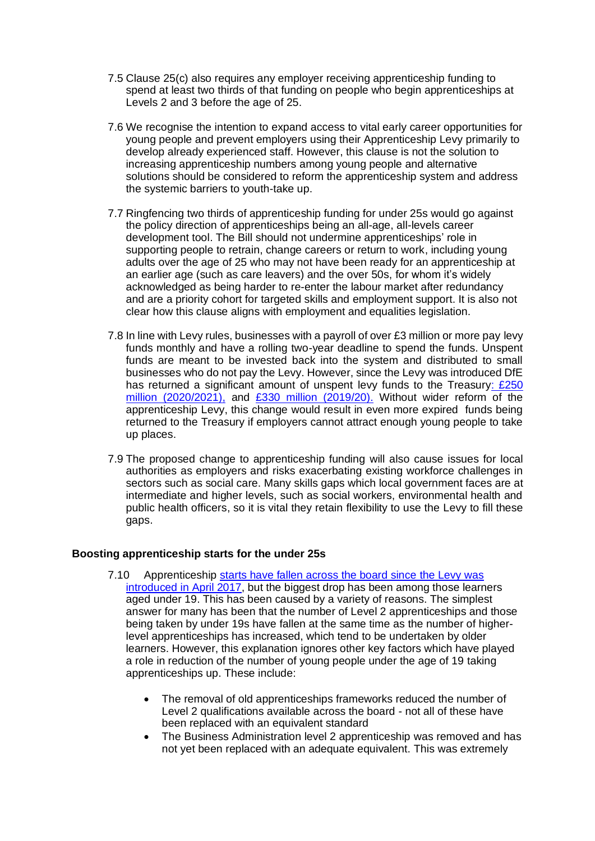- 7.5 Clause 25(c) also requires any employer receiving apprenticeship funding to spend at least two thirds of that funding on people who begin apprenticeships at Levels 2 and 3 before the age of 25.
- 7.6 We recognise the intention to expand access to vital early career opportunities for young people and prevent employers using their Apprenticeship Levy primarily to develop already experienced staff. However, this clause is not the solution to increasing apprenticeship numbers among young people and alternative solutions should be considered to reform the apprenticeship system and address the systemic barriers to youth-take up.
- 7.7 Ringfencing two thirds of apprenticeship funding for under 25s would go against the policy direction of apprenticeships being an all-age, all-levels career development tool. The Bill should not undermine apprenticeships' role in supporting people to retrain, change careers or return to work, including young adults over the age of 25 who may not have been ready for an apprenticeship at an earlier age (such as care leavers) and the over 50s, for whom it's widely acknowledged as being harder to re-enter the labour market after redundancy and are a priority cohort for targeted skills and employment support. It is also not clear how this clause aligns with employment and equalities legislation.
- 7.8 In line with Levy rules, businesses with a payroll of over £3 million or more pay levy funds monthly and have a rolling two-year deadline to spend the funds. Unspent funds are meant to be invested back into the system and distributed to small businesses who do not pay the Levy. However, since the Levy was introduced DfE has returned a significant amount of unspent levy funds to the Treasury: £250 [million \(2020/2021\),](https://committees.parliament.uk/publications/5904/documents/67311/default/) and [£330 million \(2019/20\).](https://www.parliament.uk/globalassets/documents/commons-committees/Education/Estimates-Memoranda/Department-for-Education-Main-Estimates-2019-20-Memorandum.pdf) Without wider reform of the apprenticeship Levy, this change would result in even more expired funds being returned to the Treasury if employers cannot attract enough young people to take up places.
- 7.9 The proposed change to apprenticeship funding will also cause issues for local authorities as employers and risks exacerbating existing workforce challenges in sectors such as social care. Many skills gaps which local government faces are at intermediate and higher levels, such as social workers, environmental health and public health officers, so it is vital they retain flexibility to use the Levy to fill these gaps.

### **Boosting apprenticeship starts for the under 25s**

- 7.10 Apprenticeship [starts have fallen across the board since](https://commonslibrary.parliament.uk/research-briefings/sn06113/) the Levy was introduced [in April 2017,](https://commonslibrary.parliament.uk/research-briefings/sn06113/) but the biggest drop has been among those learners aged under 19. This has been caused by a variety of reasons. The simplest answer for many has been that the number of Level 2 apprenticeships and those being taken by under 19s have fallen at the same time as the number of higherlevel apprenticeships has increased, which tend to be undertaken by older learners. However, this explanation ignores other key factors which have played a role in reduction of the number of young people under the age of 19 taking apprenticeships up. These include:
	- The removal of old apprenticeships frameworks reduced the number of Level 2 qualifications available across the board - not all of these have been replaced with an equivalent standard
	- The Business Administration level 2 apprenticeship was removed and has not yet been replaced with an adequate equivalent. This was extremely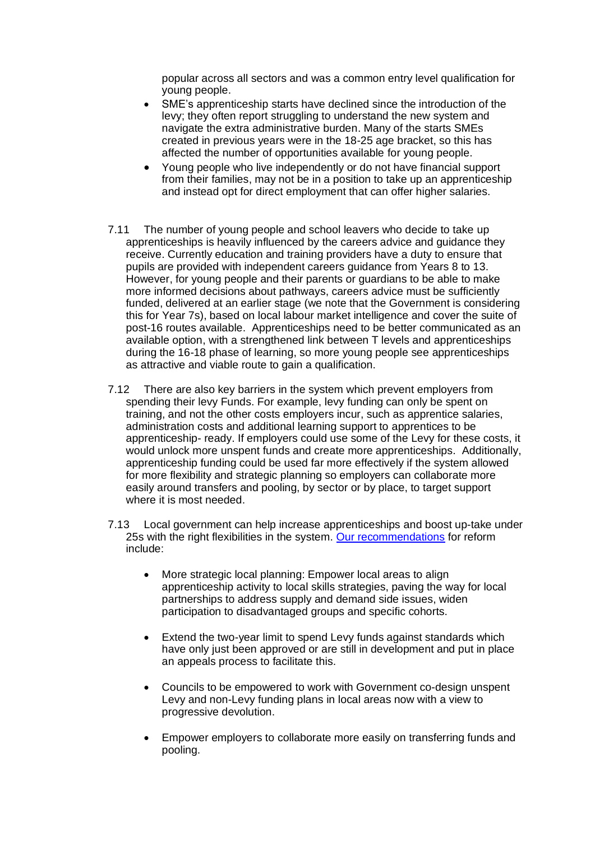popular across all sectors and was a common entry level qualification for young people.

- SME's apprenticeship starts have declined since the introduction of the levy; they often report struggling to understand the new system and navigate the extra administrative burden. Many of the starts SMEs created in previous years were in the 18-25 age bracket, so this has affected the number of opportunities available for young people.
- Young people who live independently or do not have financial support from their families, may not be in a position to take up an apprenticeship and instead opt for direct employment that can offer higher salaries.
- 7.11 The number of young people and school leavers who decide to take up apprenticeships is heavily influenced by the careers advice and guidance they receive. Currently education and training providers have a duty to ensure that pupils are provided with independent careers guidance from Years 8 to 13. However, for young people and their parents or guardians to be able to make more informed decisions about pathways, careers advice must be sufficiently funded, delivered at an earlier stage (we note that the Government is considering this for Year 7s), based on local labour market intelligence and cover the suite of post-16 routes available. Apprenticeships need to be better communicated as an available option, with a strengthened link between T levels and apprenticeships during the 16-18 phase of learning, so more young people see apprenticeships as attractive and viable route to gain a qualification.
- 7.12 There are also key barriers in the system which prevent employers from spending their levy Funds. For example, levy funding can only be spent on training, and not the other costs employers incur, such as apprentice salaries, administration costs and additional learning support to apprentices to be apprenticeship- ready. If employers could use some of the Levy for these costs, it would unlock more unspent funds and create more apprenticeships. Additionally, apprenticeship funding could be used far more effectively if the system allowed for more flexibility and strategic planning so employers can collaborate more easily around transfers and pooling, by sector or by place, to target support where it is most needed.
- 7.13 Local government can help increase apprenticeships and boost up-take under 25s with the right flexibilities in the system. [Our recommendations](https://www.local.gov.uk/topics/employment-and-skills/work-local/apprenticeship-levy-our-key-asks-reform) for reform include:
	- More strategic local planning: Empower local areas to align apprenticeship activity to local skills strategies, paving the way for local partnerships to address supply and demand side issues, widen participation to disadvantaged groups and specific cohorts.
	- Extend the two-year limit to spend Levy funds against standards which have only just been approved or are still in development and put in place an appeals process to facilitate this.
	- Councils to be empowered to work with Government co-design unspent Levy and non-Levy funding plans in local areas now with a view to progressive devolution.
	- Empower employers to collaborate more easily on transferring funds and pooling.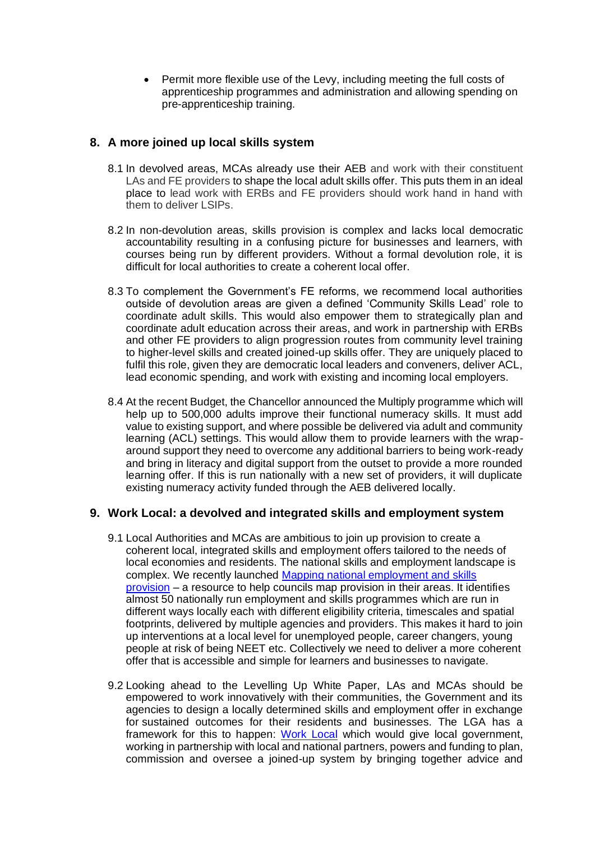• Permit more flexible use of the Levy, including meeting the full costs of apprenticeship programmes and administration and allowing spending on pre-apprenticeship training.

# **8. A more joined up local skills system**

- 8.1 In devolved areas, MCAs already use their AEB and work with their constituent LAs and FE providers to shape the local adult skills offer. This puts them in an ideal place to lead work with ERBs and FE providers should work hand in hand with them to deliver LSIPs.
- 8.2 In non-devolution areas, skills provision is complex and lacks local democratic accountability resulting in a confusing picture for businesses and learners, with courses being run by different providers. Without a formal devolution role, it is difficult for local authorities to create a coherent local offer.
- 8.3 To complement the Government's FE reforms, we recommend local authorities outside of devolution areas are given a defined 'Community Skills Lead' role to coordinate adult skills. This would also empower them to strategically plan and coordinate adult education across their areas, and work in partnership with ERBs and other FE providers to align progression routes from community level training to higher-level skills and created joined-up skills offer. They are uniquely placed to fulfil this role, given they are democratic local leaders and conveners, deliver ACL, lead economic spending, and work with existing and incoming local employers.
- 8.4 At the recent Budget, the Chancellor announced the Multiply programme which will help up to 500,000 adults improve their functional numeracy skills. It must add value to existing support, and where possible be delivered via adult and community learning (ACL) settings. This would allow them to provide learners with the wraparound support they need to overcome any additional barriers to being work-ready and bring in literacy and digital support from the outset to provide a more rounded learning offer. If this is run nationally with a new set of providers, it will duplicate existing numeracy activity funded through the AEB delivered locally.

# **9. Work Local: a devolved and integrated skills and employment system**

- 9.1 Local Authorities and MCAs are ambitious to join up provision to create a coherent local, integrated skills and employment offers tailored to the needs of local economies and residents. The national skills and employment landscape is complex. We recently launched [Mapping national employment and skills](https://www.local.gov.uk/our-support/financial-resilience-and-economic-recovery/mapping-national-employment-and-skills)  [provision](https://www.local.gov.uk/our-support/financial-resilience-and-economic-recovery/mapping-national-employment-and-skills) – a resource to help councils map provision in their areas. It identifies almost 50 nationally run employment and skills programmes which are run in different ways locally each with different eligibility criteria, timescales and spatial footprints, delivered by multiple agencies and providers. This makes it hard to join up interventions at a local level for unemployed people, career changers, young people at risk of being NEET etc. Collectively we need to deliver a more coherent offer that is accessible and simple for learners and businesses to navigate.
- 9.2 Looking ahead to the Levelling Up White Paper, LAs and MCAs should be empowered to work innovatively with their communities, the Government and its agencies to design a locally determined skills and employment offer in exchange for sustained outcomes for their residents and businesses. The LGA has a framework for this to happen: [Work Local](https://www.local.gov.uk/topics/employment-and-skills/work-local) which would give local government, working in partnership with local and national partners, powers and funding to plan, commission and oversee a joined-up system by bringing together advice and